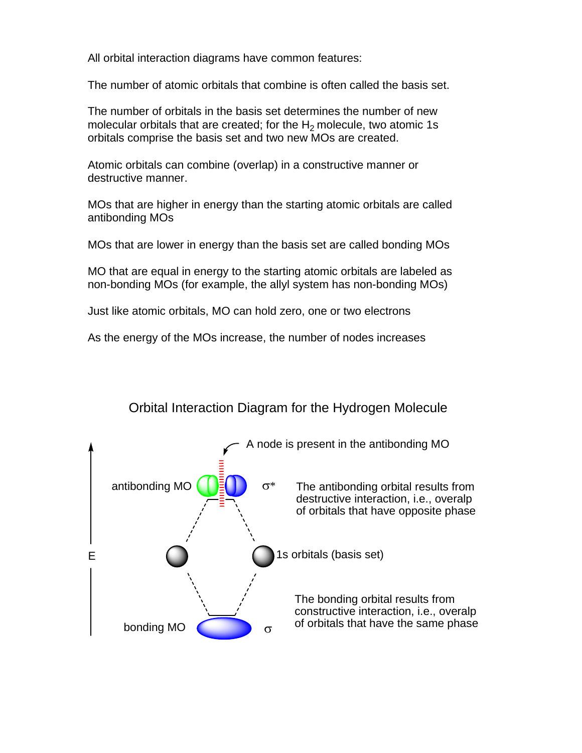All orbital interaction diagrams have common features:

The number of atomic orbitals that combine is often called the basis set.

The number of orbitals in the basis set determines the number of new molecular orbitals that are created; for the  $H_2$  molecule, two atomic 1s orbitals comprise the basis set and two new MOs are created.

Atomic orbitals can combine (overlap) in a constructive manner or destructive manner.

MOs that are higher in energy than the starting atomic orbitals are called antibonding MOs

MOs that are lower in energy than the basis set are called bonding MOs

MO that are equal in energy to the starting atomic orbitals are labeled as non-bonding MOs (for example, the allyl system has non-bonding MOs)

Just like atomic orbitals, MO can hold zero, one or two electrons

As the energy of the MOs increase, the number of nodes increases

## Orbital Interaction Diagram for the Hydrogen Molecule

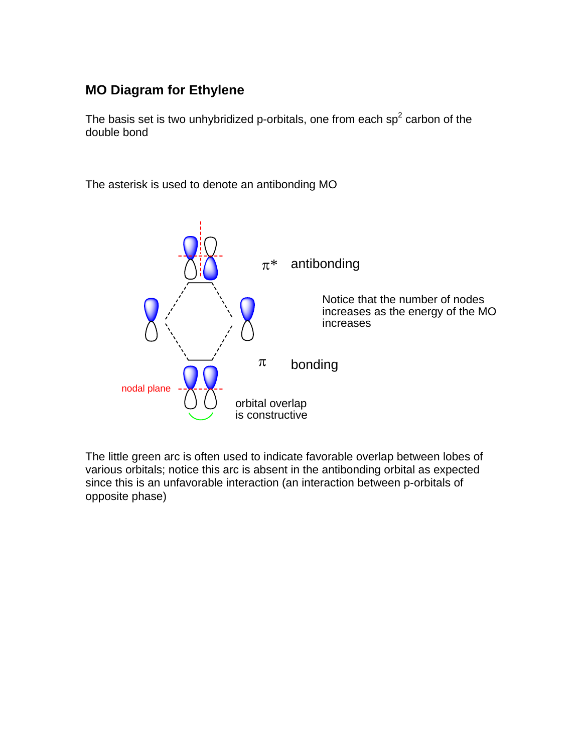## **MO Diagram for Ethylene**

The basis set is two unhybridized p-orbitals, one from each sp<sup>2</sup> carbon of the double bond

The asterisk is used to denote an antibonding MO



The little green arc is often used to indicate favorable overlap between lobes of various orbitals; notice this arc is absent in the antibonding orbital as expected since this is an unfavorable interaction (an interaction between p-orbitals of opposite phase)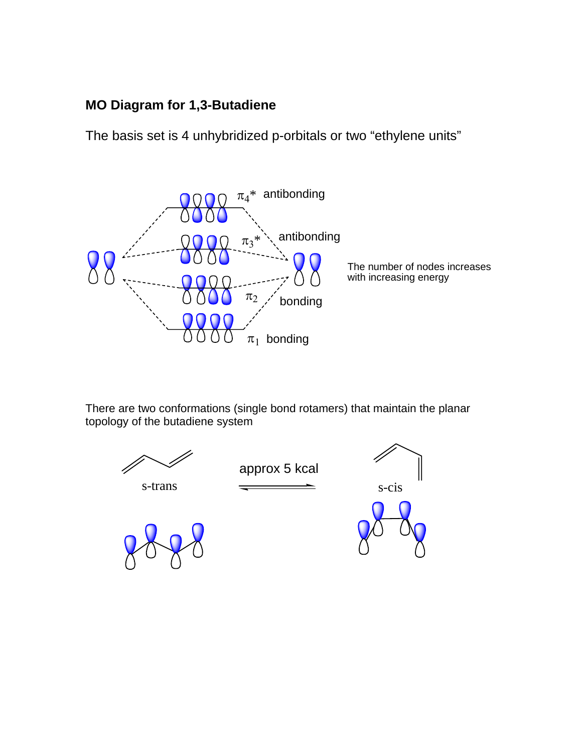## **MO Diagram for 1,3-Butadiene**

The basis set is 4 unhybridized p-orbitals or two "ethylene units"



There are two conformations (single bond rotamers) that maintain the planar topology of the butadiene system